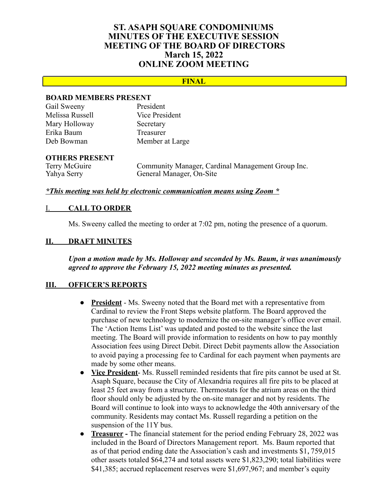# **ST. ASAPH SQUARE CONDOMINIUMS MINUTES OF THE EXECUTIVE SESSION MEETING OF THE BOARD OF DIRECTORS March 15, 2022 ONLINE ZOOM MEETING**

## **FINAL**

## **BOARD MEMBERS PRESENT**

| Gail Sweeny     | President       |
|-----------------|-----------------|
| Melissa Russell | Vice President  |
| Mary Holloway   | Secretary       |
| Erika Baum      | Treasurer       |
| Deb Bowman      | Member at Large |

#### **OTHERS PRESENT**

Terry McGuire Community Manager, Cardinal Management Group Inc. Yahya Serry General Manager, On-Site

#### *\*This meeting was held by electronic communication means using Zoom \**

#### I. **CALL TO ORDER**

Ms. Sweeny called the meeting to order at 7:02 pm, noting the presence of a quorum.

## **II. DRAFT MINUTES**

*Upon a motion made by Ms. Holloway and seconded by Ms. Baum, it was unanimously agreed to approve the February 15, 2022 meeting minutes as presented.*

## **III. OFFICER'S REPORTS**

- **President** Ms. Sweeny noted that the Board met with a representative from Cardinal to review the Front Steps website platform. The Board approved the purchase of new technology to modernize the on-site manager's office over email. The 'Action Items List' was updated and posted to the website since the last meeting. The Board will provide information to residents on how to pay monthly Association fees using Direct Debit. Direct Debit payments allow the Association to avoid paying a processing fee to Cardinal for each payment when payments are made by some other means.
- **Vice President** Ms. Russell reminded residents that fire pits cannot be used at St. Asaph Square, because the City of Alexandria requires all fire pits to be placed at least 25 feet away from a structure. Thermostats for the atrium areas on the third floor should only be adjusted by the on-site manager and not by residents. The Board will continue to look into ways to acknowledge the 40th anniversary of the community. Residents may contact Ms. Russell regarding a petition on the suspension of the 11Y bus.
- **Treasurer -** The financial statement for the period ending February 28, 2022 was included in the Board of Directors Management report. Ms. Baum reported that as of that period ending date the Association's cash and investments \$1**,** 759,015 other assets totaled \$64,274 and total assets were \$1,823,290; total liabilities were \$41,385; accrued replacement reserves were \$1,697,967; and member's equity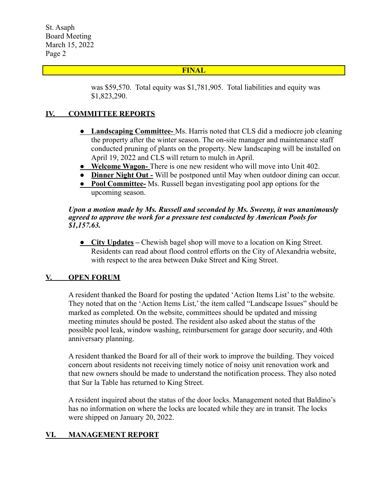St. Asaph Board Meeting March 15, 2022 Page 2

## **FINAL**

was \$59,570. Total equity was \$1,781,905. Total liabilities and equity was \$1,823,290.

## **IV. COMMITTEE REPORTS**

- **● Landscaping Committee-** Ms. Harris noted that CLS did a mediocre job cleaning the property after the winter season. The on-site manager and maintenance staff conducted pruning of plants on the property. New landscaping will be installed on April 19, 2022 and CLS will return to mulch in April.
- **● Welcome Wagon-** There is one new resident who will move into Unit 402.
- **Dinner Night Out -** Will be postponed until May when outdoor dining can occur.
- **● Pool Committee-** Ms. Russell began investigating pool app options for the upcoming season.

#### *Upon a motion made by Ms. Russell and seconded by Ms. Sweeny, it was unanimously agreed to approve the work for a pressure test conducted by American Pools for \$1,157.63.*

**● City Updates –** Chewish bagel shop will move to a location on King Street. Residents can read about flood control efforts on the City of Alexandria website, with respect to the area between Duke Street and King Street.

## **V. OPEN FORUM**

A resident thanked the Board for posting the updated 'Action Items List' to the website. They noted that on the 'Action Items List,' the item called "Landscape Issues" should be marked as completed. On the website, committees should be updated and missing meeting minutes should be posted. The resident also asked about the status of the possible pool leak, window washing, reimbursement for garage door security, and 40th anniversary planning.

A resident thanked the Board for all of their work to improve the building. They voiced concern about residents not receiving timely notice of noisy unit renovation work and that new owners should be made to understand the notification process. They also noted that Sur la Table has returned to King Street.

A resident inquired about the status of the door locks. Management noted that Baldino's has no information on where the locks are located while they are in transit. The locks were shipped on January 20, 2022.

## **VI. MANAGEMENT REPORT**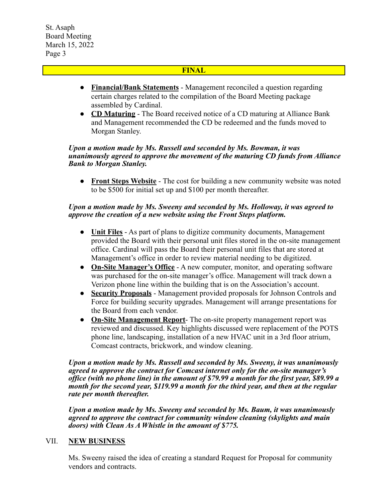St. Asaph Board Meeting March 15, 2022 Page 3

## **FINAL**

- **● Financial/Bank Statements** Management reconciled a question regarding certain charges related to the compilation of the Board Meeting package assembled by Cardinal.
- **● CD Maturing** The Board received notice of a CD maturing at Alliance Bank and Management recommended the CD be redeemed and the funds moved to Morgan Stanley.

#### *Upon a motion made by Ms. Russell and seconded by Ms. Bowman, it was unanimously agreed to approve the movement of the maturing CD funds from Alliance Bank to Morgan Stanley.*

**● Front Steps Website** - The cost for building a new community website was noted to be \$500 for initial set up and \$100 per month thereafter.

## *Upon a motion made by Ms. Sweeny and seconded by Ms. Holloway, it was agreed to approve the creation of a new website using the Front Steps platform.*

- **● Unit Files** As part of plans to digitize community documents, Management provided the Board with their personal unit files stored in the on-site management office. Cardinal will pass the Board their personal unit files that are stored at Management's office in order to review material needing to be digitized.
- **● On-Site Manager's Office** A new computer, monitor, and operating software was purchased for the on-site manager's office. Management will track down a Verizon phone line within the building that is on the Association's account.
- **● Security Proposals** Management provided proposals for Johnson Controls and Force for building security upgrades. Management will arrange presentations for the Board from each vendor.
- **● On-Site Management Report** The on-site property management report was reviewed and discussed. Key highlights discussed were replacement of the POTS phone line, landscaping, installation of a new HVAC unit in a 3rd floor atrium, Comcast contracts, brickwork, and window cleaning.

*Upon a motion made by Ms. Russell and seconded by Ms. Sweeny, it was unanimously agreed to approve the contract for Comcast internet only for the on-site manager's office (with no phone line) in the amount of \$79.99 a month for the first year, \$89.99 a month for the second year, \$119.99 a month for the third year, and then at the regular rate per month thereafter.*

*Upon a motion made by Ms. Sweeny and seconded by Ms. Baum, it was unanimously agreed to approve the contract for community window cleaning (skylights and main doors) with Clean As A Whistle in the amount of \$775.*

## VII. **NEW BUSINESS**

Ms. Sweeny raised the idea of creating a standard Request for Proposal for community vendors and contracts.